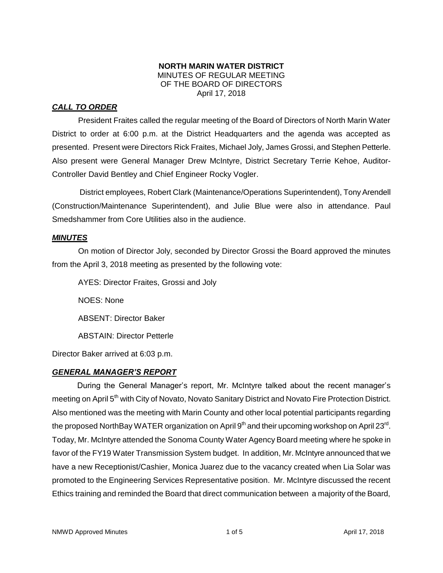#### **NORTH MARIN WATER DISTRICT** MINUTES OF REGULAR MEETING OF THE BOARD OF DIRECTORS April 17, 2018

# *CALL TO ORDER*

President Fraites called the regular meeting of the Board of Directors of North Marin Water District to order at 6:00 p.m. at the District Headquarters and the agenda was accepted as presented. Present were Directors Rick Fraites, Michael Joly, James Grossi, and Stephen Petterle. Also present were General Manager Drew McIntyre, District Secretary Terrie Kehoe, Auditor-Controller David Bentley and Chief Engineer Rocky Vogler.

District employees, Robert Clark (Maintenance/Operations Superintendent), Tony Arendell (Construction/Maintenance Superintendent), and Julie Blue were also in attendance. Paul Smedshammer from Core Utilities also in the audience.

### *MINUTES*

On motion of Director Joly, seconded by Director Grossi the Board approved the minutes from the April 3, 2018 meeting as presented by the following vote:

AYES: Director Fraites, Grossi and Joly

NOES: None

ABSENT: Director Baker

ABSTAIN: Director Petterle

Director Baker arrived at 6:03 p.m.

## *GENERAL MANAGER'S REPORT*

During the General Manager's report, Mr. McIntyre talked about the recent manager's meeting on April 5<sup>th</sup> with City of Novato, Novato Sanitary District and Novato Fire Protection District. Also mentioned was the meeting with Marin County and other local potential participants regarding the proposed NorthBay WATER organization on April 9<sup>th</sup> and their upcoming workshop on April 23<sup>rd</sup>. Today, Mr. McIntyre attended the Sonoma County Water Agency Board meeting where he spoke in favor of the FY19 Water Transmission System budget. In addition, Mr. McIntyre announced that we have a new Receptionist/Cashier, Monica Juarez due to the vacancy created when Lia Solar was promoted to the Engineering Services Representative position. Mr. McIntyre discussed the recent Ethics training and reminded the Board that direct communication between a majority of the Board,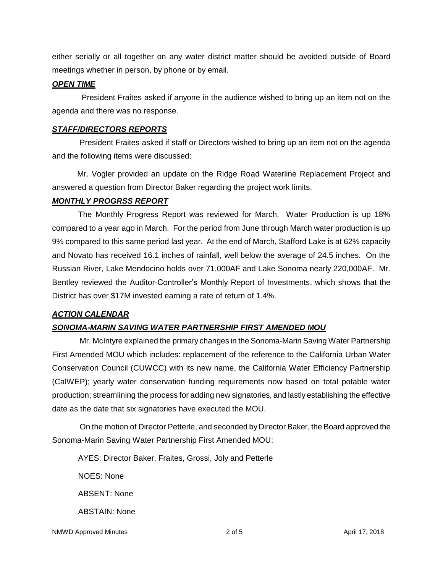either serially or all together on any water district matter should be avoided outside of Board meetings whether in person, by phone or by email.

#### *OPEN TIME*

President Fraites asked if anyone in the audience wished to bring up an item not on the agenda and there was no response.

### *STAFF/DIRECTORS REPORTS*

President Fraites asked if staff or Directors wished to bring up an item not on the agenda and the following items were discussed:

Mr. Vogler provided an update on the Ridge Road Waterline Replacement Project and answered a question from Director Baker regarding the project work limits.

### *MONTHLY PROGRSS REPORT*

The Monthly Progress Report was reviewed for March. Water Production is up 18% compared to a year ago in March. For the period from June through March water production is up 9% compared to this same period last year. At the end of March, Stafford Lake is at 62% capacity and Novato has received 16.1 inches of rainfall, well below the average of 24.5 inches. On the Russian River, Lake Mendocino holds over 71,000AF and Lake Sonoma nearly 220,000AF. Mr. Bentley reviewed the Auditor-Controller's Monthly Report of Investments, which shows that the District has over \$17M invested earning a rate of return of 1.4%.

## *ACTION CALENDAR*

## *SONOMA-MARIN SAVING WATER PARTNERSHIP FIRST AMENDED MOU*

Mr. McIntyre explained the primary changes in the Sonoma-Marin Saving Water Partnership First Amended MOU which includes: replacement of the reference to the California Urban Water Conservation Council (CUWCC) with its new name, the California Water Efficiency Partnership (CalWEP); yearly water conservation funding requirements now based on total potable water production; streamlining the process for adding new signatories, and lastly establishing the effective date as the date that six signatories have executed the MOU.

On the motion of Director Petterle, and seconded by Director Baker, the Board approved the Sonoma-Marin Saving Water Partnership First Amended MOU:

AYES: Director Baker, Fraites, Grossi, Joly and Petterle

NOES: None

ABSENT: None

ABSTAIN: None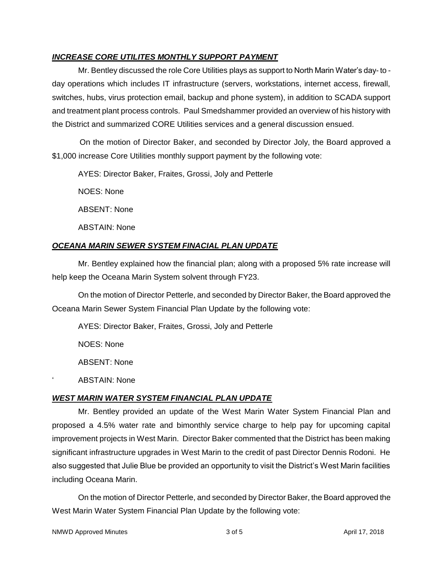### *INCREASE CORE UTILITES MONTHLY SUPPORT PAYMENT*

Mr. Bentley discussed the role Core Utilities plays as support to North Marin Water's day- to day operations which includes IT infrastructure (servers, workstations, internet access, firewall, switches, hubs, virus protection email, backup and phone system), in addition to SCADA support and treatment plant process controls. Paul Smedshammer provided an overview of his history with the District and summarized CORE Utilities services and a general discussion ensued.

On the motion of Director Baker, and seconded by Director Joly, the Board approved a \$1,000 increase Core Utilities monthly support payment by the following vote:

AYES: Director Baker, Fraites, Grossi, Joly and Petterle

NOES: None

ABSENT: None

ABSTAIN: None

### *OCEANA MARIN SEWER SYSTEM FINACIAL PLAN UPDATE*

Mr. Bentley explained how the financial plan; along with a proposed 5% rate increase will help keep the Oceana Marin System solvent through FY23.

On the motion of Director Petterle, and seconded by Director Baker, the Board approved the Oceana Marin Sewer System Financial Plan Update by the following vote:

AYES: Director Baker, Fraites, Grossi, Joly and Petterle

NOES: None

ABSENT: None

' ABSTAIN: None

## *WEST MARIN WATER SYSTEM FINANCIAL PLAN UPDATE*

Mr. Bentley provided an update of the West Marin Water System Financial Plan and proposed a 4.5% water rate and bimonthly service charge to help pay for upcoming capital improvement projects in West Marin. Director Baker commented that the District has been making significant infrastructure upgrades in West Marin to the credit of past Director Dennis Rodoni. He also suggested that Julie Blue be provided an opportunity to visit the District's West Marin facilities including Oceana Marin.

On the motion of Director Petterle, and seconded by Director Baker, the Board approved the West Marin Water System Financial Plan Update by the following vote:

NMWD Approved Minutes and the state of 3 of 5 April 17, 2018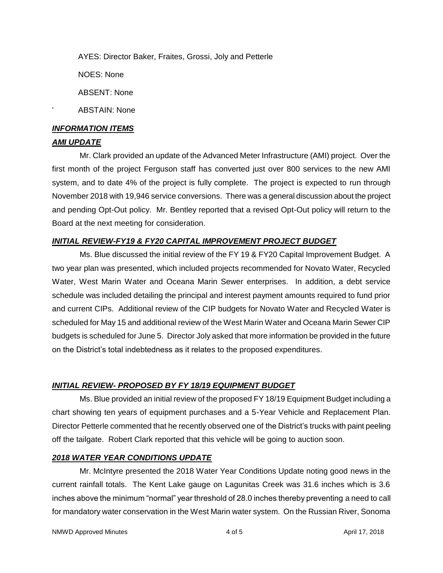AYES: Director Baker, Fraites, Grossi, Joly and Petterle

NOES: None

ABSENT: None

ABSTAIN: None

### *INFORMATION ITEMS*

### *AMI UPDATE*

Mr. Clark provided an update of the Advanced Meter Infrastructure (AMI) project. Over the first month of the project Ferguson staff has converted just over 800 services to the new AMI system, and to date 4% of the project is fully complete. The project is expected to run through November 2018 with 19,946 service conversions. There was a general discussion about the project and pending Opt-Out policy. Mr. Bentley reported that a revised Opt-Out policy will return to the Board at the next meeting for consideration.

### *INITIAL REVIEW-FY19 & FY20 CAPITAL IMPROVEMENT PROJECT BUDGET*

Ms. Blue discussed the initial review of the FY 19 & FY20 Capital Improvement Budget. A two year plan was presented, which included projects recommended for Novato Water, Recycled Water, West Marin Water and Oceana Marin Sewer enterprises. In addition, a debt service schedule was included detailing the principal and interest payment amounts required to fund prior and current CIPs. Additional review of the CIP budgets for Novato Water and Recycled Water is scheduled for May 15 and additional review of the West Marin Water and Oceana Marin Sewer CIP budgets is scheduled for June 5. Director Joly asked that more information be provided in the future on the District's total indebtedness as it relates to the proposed expenditures.

## *INITIAL REVIEW- PROPOSED BY FY 18/19 EQUIPMENT BUDGET*

Ms. Blue provided an initial review of the proposed FY 18/19 Equipment Budget including a chart showing ten years of equipment purchases and a 5-Year Vehicle and Replacement Plan. Director Petterle commented that he recently observed one of the District's trucks with paint peeling off the tailgate. Robert Clark reported that this vehicle will be going to auction soon.

### *2018 WATER YEAR CONDITIONS UPDATE*

Mr. McIntyre presented the 2018 Water Year Conditions Update noting good news in the current rainfall totals. The Kent Lake gauge on Lagunitas Creek was 31.6 inches which is 3.6 inches above the minimum "normal" year threshold of 28.0 inches thereby preventing a need to call for mandatory water conservation in the West Marin water system. On the Russian River, Sonoma